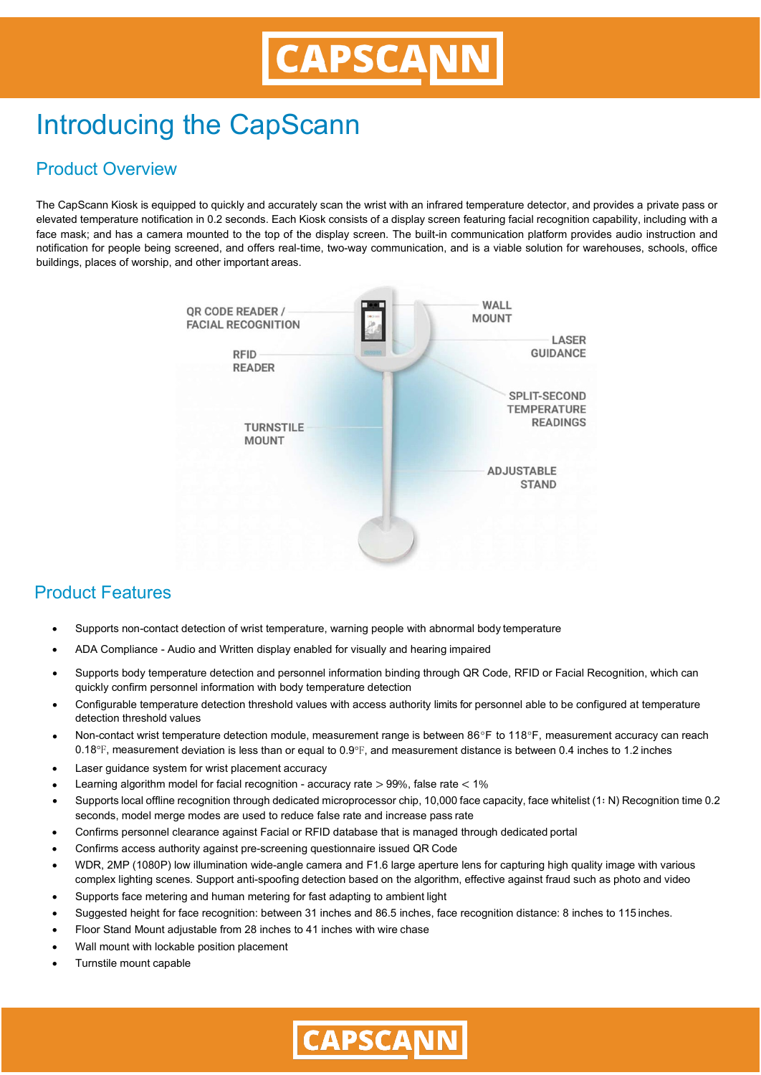# Introducing the CapScann

### Product Overview

The CapScann Kiosk is equipped to quickly and accurately scan the wrist with an infrared temperature detector, and provides a private pass or elevated temperature notification in 0.2 seconds. Each Kiosk consists of a display screen featuring facial recognition capability, including with a face mask; and has a camera mounted to the top of the display screen. The built-in communication platform provides audio instruction and notification for people being screened, and offers real-time, two-way communication, and is a viable solution for warehouses, schools, office buildings, places of worship, and other important areas.



#### Product Features

- Supports non-contact detection of wrist temperature, warning people with abnormal body temperature
- ADA Compliance Audio and Written display enabled for visually and hearing impaired
- Supports body temperature detection and personnel information binding through QR Code, RFID or Facial Recognition, which can quickly confirm personnel information with body temperature detection
- Configurable temperature detection threshold values with access authority limits for personnel able to be configured at temperature detection threshold values
- Non-contact wrist temperature detection module, measurement range is between 86°F to 118°F, measurement accuracy can reach  $0.18$ °F, measurement deviation is less than or equal to  $0.9$ °F, and measurement distance is between 0.4 inches to 1.2 inches
- Laser guidance system for wrist placement accuracy
- Learning algorithm model for facial recognition accuracy rate  $>$  99%, false rate  $<$  1%
- Supports local offline recognition through dedicated microprocessor chip, 10,000 face capacity, face whitelist (1∶ N) Recognition time 0.2 seconds, model merge modes are used to reduce false rate and increase pass rate
- Confirms personnel clearance against Facial or RFID database that is managed through dedicated portal
- Confirms access authority against pre-screening questionnaire issued QR Code
- WDR, 2MP (1080P) low illumination wide-angle camera and F1.6 large aperture lens for capturing high quality image with various complex lighting scenes. Support anti-spoofing detection based on the algorithm, effective against fraud such as photo and video
- Supports face metering and human metering for fast adapting to ambient light
- Suggested height for face recognition: between 31 inches and 86.5 inches, face recognition distance: 8 inches to 115 inches.
- Floor Stand Mount adjustable from 28 inches to 41 inches with wire chase
- Wall mount with lockable position placement
- Turnstile mount capable

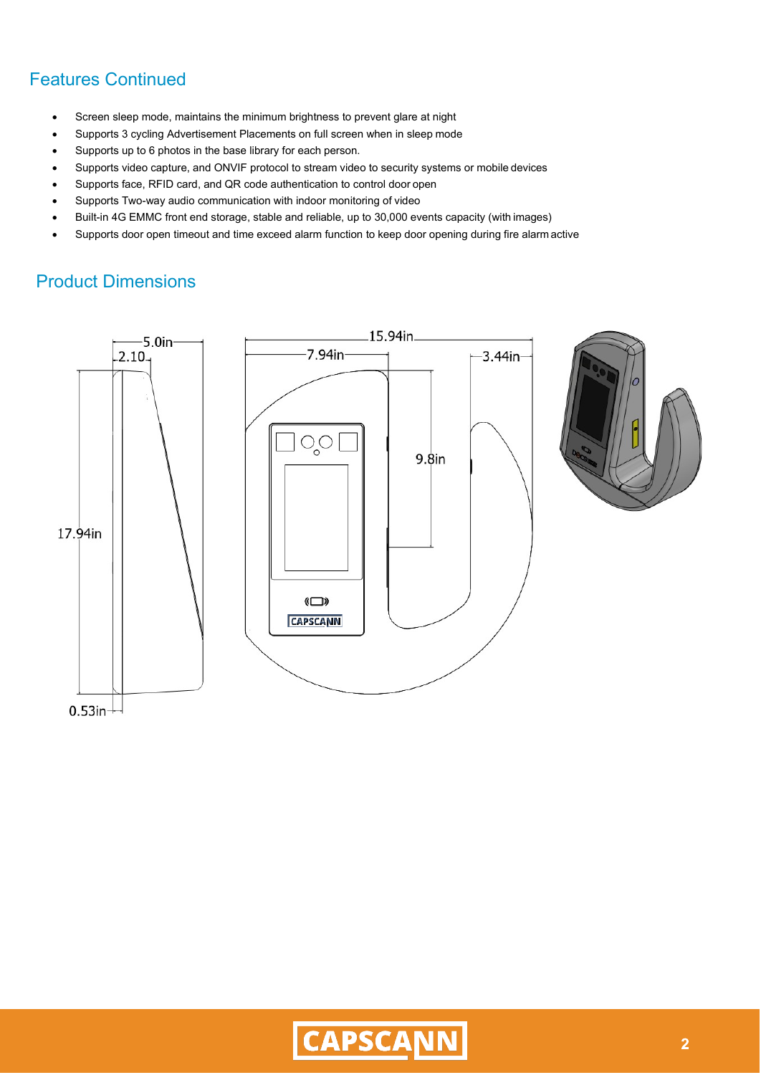## Features Continued

- Screen sleep mode, maintains the minimum brightness to prevent glare at night
- Supports 3 cycling Advertisement Placements on full screen when in sleep mode
- Supports up to 6 photos in the base library for each person.
- Supports video capture, and ONVIF protocol to stream video to security systems or mobile devices
- Supports face, RFID card, and QR code authentication to control door open
- Supports Two-way audio communication with indoor monitoring of video
- Built-in 4G EMMC front end storage, stable and reliable, up to 30,000 events capacity (with images)
- Supports door open timeout and time exceed alarm function to keep door opening during fire alarm active

## Product Dimensions